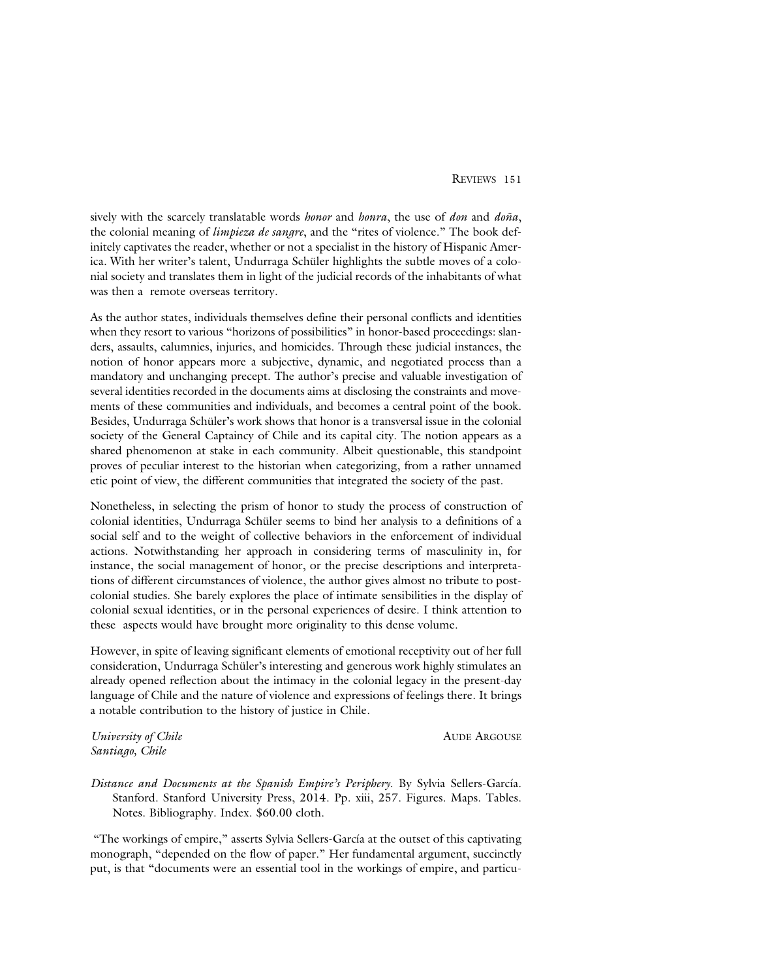sively with the scarcely translatable words *honor* and *honra*, the use of *don* and *doña*, the colonial meaning of *limpieza de sangre*, and the "rites of violence." The book definitely captivates the reader, whether or not a specialist in the history of Hispanic America. With her writer's talent, Undurraga Schüler highlights the subtle moves of a colonial society and translates them in light of the judicial records of the inhabitants of what was then a remote overseas territory.

As the author states, individuals themselves define their personal conflicts and identities when they resort to various "horizons of possibilities" in honor-based proceedings: slanders, assaults, calumnies, injuries, and homicides. Through these judicial instances, the notion of honor appears more a subjective, dynamic, and negotiated process than a mandatory and unchanging precept. The author's precise and valuable investigation of several identities recorded in the documents aims at disclosing the constraints and movements of these communities and individuals, and becomes a central point of the book. Besides, Undurraga Schüler's work shows that honor is a transversal issue in the colonial society of the General Captaincy of Chile and its capital city. The notion appears as a shared phenomenon at stake in each community. Albeit questionable, this standpoint proves of peculiar interest to the historian when categorizing, from a rather unnamed etic point of view, the different communities that integrated the society of the past.

Nonetheless, in selecting the prism of honor to study the process of construction of colonial identities, Undurraga Schüler seems to bind her analysis to a definitions of a social self and to the weight of collective behaviors in the enforcement of individual actions. Notwithstanding her approach in considering terms of masculinity in, for instance, the social management of honor, or the precise descriptions and interpretations of different circumstances of violence, the author gives almost no tribute to postcolonial studies. She barely explores the place of intimate sensibilities in the display of colonial sexual identities, or in the personal experiences of desire. I think attention to these aspects would have brought more originality to this dense volume.

However, in spite of leaving significant elements of emotional receptivity out of her full consideration, Undurraga Schüler's interesting and generous work highly stimulates an already opened reflection about the intimacy in the colonial legacy in the present-day language of Chile and the nature of violence and expressions of feelings there. It brings a notable contribution to the history of justice in Chile.

*University of Chile* AUDE ARGOUSE *Santiago, Chile*

*Distance and Documents at the Spanish Empire's Periphery*. By Sylvia Sellers-García. Stanford. Stanford University Press, 2014. Pp. xiii, 257. Figures. Maps. Tables. Notes. Bibliography. Index. \$60.00 cloth.

"The workings of empire," asserts Sylvia Sellers-García at the outset of this captivating monograph, "depended on the flow of paper." Her fundamental argument, succinctly put, is that "documents were an essential tool in the workings of empire, and particu-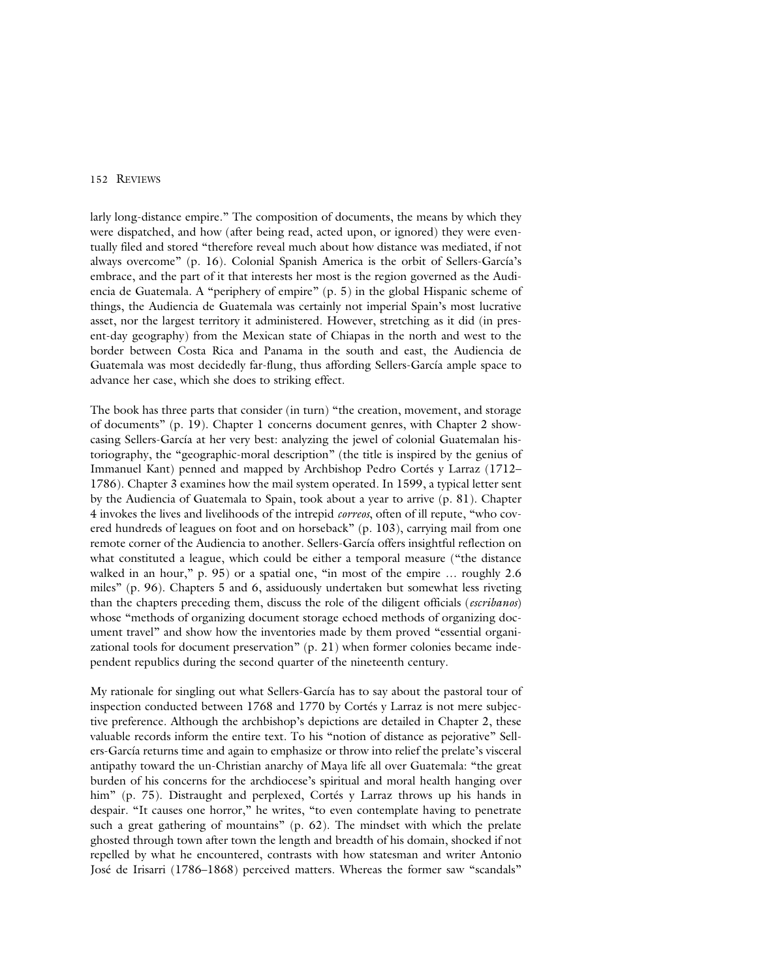## 152 REVIEWS

larly long-distance empire." The composition of documents, the means by which they were dispatched, and how (after being read, acted upon, or ignored) they were eventually filed and stored "therefore reveal much about how distance was mediated, if not always overcome" (p. 16). Colonial Spanish America is the orbit of Sellers-García's embrace, and the part of it that interests her most is the region governed as the Audiencia de Guatemala. A "periphery of empire" (p. 5) in the global Hispanic scheme of things, the Audiencia de Guatemala was certainly not imperial Spain's most lucrative asset, nor the largest territory it administered. However, stretching as it did (in present-day geography) from the Mexican state of Chiapas in the north and west to the border between Costa Rica and Panama in the south and east, the Audiencia de Guatemala was most decidedly far-flung, thus affording Sellers-García ample space to advance her case, which she does to striking effect.

The book has three parts that consider (in turn) "the creation, movement, and storage of documents" (p. 19). Chapter 1 concerns document genres, with Chapter 2 showcasing Sellers-García at her very best: analyzing the jewel of colonial Guatemalan historiography, the "geographic-moral description" (the title is inspired by the genius of Immanuel Kant) penned and mapped by Archbishop Pedro Cortés y Larraz (1712– 1786). Chapter 3 examines how the mail system operated. In 1599, a typical letter sent by the Audiencia of Guatemala to Spain, took about a year to arrive (p. 81). Chapter 4 invokes the lives and livelihoods of the intrepid *correos*, often of ill repute, "who covered hundreds of leagues on foot and on horseback" (p. 103), carrying mail from one remote corner of the Audiencia to another. Sellers-García offers insightful reflection on what constituted a league, which could be either a temporal measure ("the distance walked in an hour," p. 95) or a spatial one, "in most of the empire ... roughly 2.6 miles" (p. 96). Chapters 5 and 6, assiduously undertaken but somewhat less riveting than the chapters preceding them, discuss the role of the diligent officials (*escribanos*) whose "methods of organizing document storage echoed methods of organizing document travel" and show how the inventories made by them proved "essential organizational tools for document preservation" (p. 21) when former colonies became independent republics during the second quarter of the nineteenth century.

My rationale for singling out what Sellers-García has to say about the pastoral tour of inspection conducted between 1768 and 1770 by Cortés y Larraz is not mere subjective preference. Although the archbishop's depictions are detailed in Chapter 2, these valuable records inform the entire text. To his "notion of distance as pejorative" Sellers-García returns time and again to emphasize or throw into relief the prelate's visceral antipathy toward the un-Christian anarchy of Maya life all over Guatemala: "the great burden of his concerns for the archdiocese's spiritual and moral health hanging over him" (p. 75). Distraught and perplexed, Cortés y Larraz throws up his hands in despair. "It causes one horror," he writes, "to even contemplate having to penetrate such a great gathering of mountains" (p. 62). The mindset with which the prelate ghosted through town after town the length and breadth of his domain, shocked if not repelled by what he encountered, contrasts with how statesman and writer Antonio José de Irisarri (1786–1868) perceived matters. Whereas the former saw "scandals"